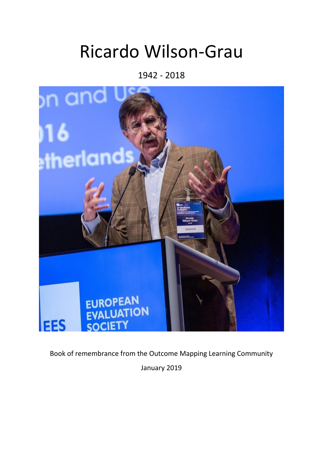## Ricardo Wilson-Grau

1942 - 2018



Book of remembrance from the Outcome Mapping Learning Community January 2019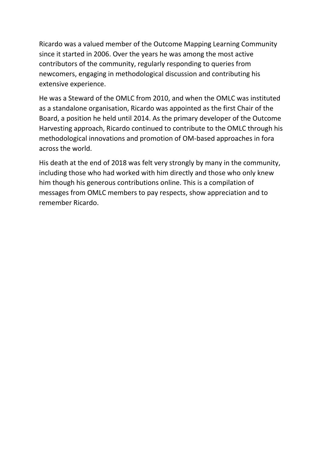Ricardo was a valued member of the Outcome Mapping Learning Community since it started in 2006. Over the years he was among the most active contributors of the community, regularly responding to queries from newcomers, engaging in methodological discussion and contributing his extensive experience.

He was a Steward of the OMLC from 2010, and when the OMLC was instituted as a standalone organisation, Ricardo was appointed as the first Chair of the Board, a position he held until 2014. As the primary developer of the Outcome Harvesting approach, Ricardo continued to contribute to the OMLC through his methodological innovations and promotion of OM-based approaches in fora across the world.

His death at the end of 2018 was felt very strongly by many in the community, including those who had worked with him directly and those who only knew him though his generous contributions online. This is a compilation of messages from OMLC members to pay respects, show appreciation and to remember Ricardo.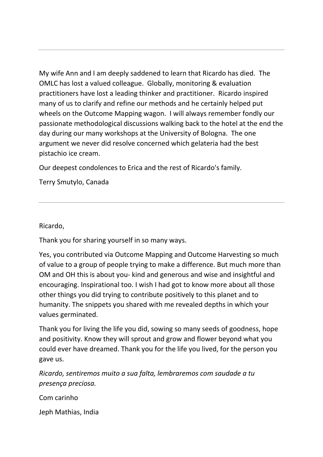My wife Ann and I am deeply saddened to learn that Ricardo has died. The OMLC has lost a valued colleague. Globally, monitoring & evaluation practitioners have lost a leading thinker and practitioner. Ricardo inspired many of us to clarify and refine our methods and he certainly helped put wheels on the Outcome Mapping wagon. I will always remember fondly our passionate methodological discussions walking back to the hotel at the end the day during our many workshops at the University of Bologna. The one argument we never did resolve concerned which gelateria had the best pistachio ice cream.

Our deepest condolences to Erica and the rest of Ricardo's family.

Terry Smutylo, Canada

Ricardo,

Thank you for sharing yourself in so many ways.

Yes, you contributed via Outcome Mapping and Outcome Harvesting so much of value to a group of people trying to make a difference. But much more than OM and OH this is about you- kind and generous and wise and insightful and encouraging. Inspirational too. I wish I had got to know more about all those other things you did trying to contribute positively to this planet and to humanity. The snippets you shared with me revealed depths in which your values germinated.

Thank you for living the life you did, sowing so many seeds of goodness, hope and positivity. Know they will sprout and grow and flower beyond what you could ever have dreamed. Thank you for the life you lived, for the person you gave us.

*Ricardo, sentiremos muito a sua falta, lembraremos com saudade a tu presença preciosa.*

Com carinho

Jeph Mathias, India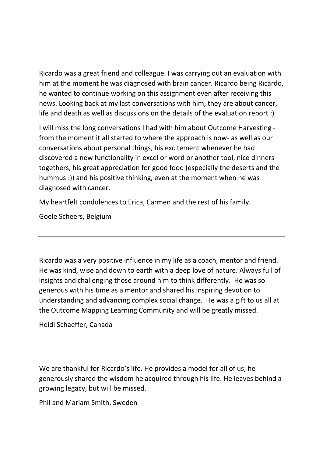Ricardo was a great friend and colleague. I was carrying out an evaluation with him at the moment he was diagnosed with brain cancer. Ricardo being Ricardo, he wanted to continue working on this assignment even after receiving this news. Looking back at my last conversations with him, they are about cancer, life and death as well as discussions on the details of the evaluation report :)

I will miss the long conversations I had with him about Outcome Harvesting from the moment it all started to where the approach is now- as well as our conversations about personal things, his excitement whenever he had discovered a new functionality in excel or word or another tool, nice dinners togethers, his great appreciation for good food (especially the deserts and the hummus :)) and his positive thinking, even at the moment when he was diagnosed with cancer.

My heartfelt condolences to Erica, Carmen and the rest of his family.

Goele Scheers, Belgium

Ricardo was a very positive influence in my life as a coach, mentor and friend. He was kind, wise and down to earth with a deep love of nature. Always full of insights and challenging those around him to think differently. He was so generous with his time as a mentor and shared his inspiring devotion to understanding and advancing complex social change. He was a gift to us all at the Outcome Mapping Learning Community and will be greatly missed.

Heidi Schaeffer, Canada

We are thankful for Ricardo's life. He provides a model for all of us; he generously shared the wisdom he acquired through his life. He leaves behind a growing legacy, but will be missed.

Phil and Mariam Smith, Sweden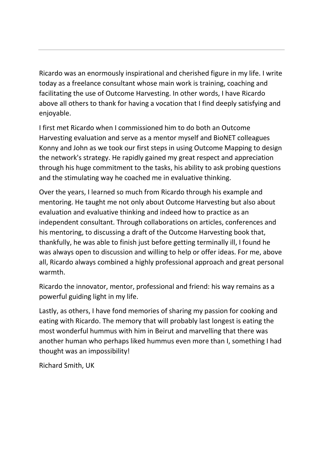Ricardo was an enormously inspirational and cherished figure in my life. I write today as a freelance consultant whose main work is training, coaching and facilitating the use of Outcome Harvesting. In other words, I have Ricardo above all others to thank for having a vocation that I find deeply satisfying and enjoyable.

I first met Ricardo when I commissioned him to do both an Outcome Harvesting evaluation and serve as a mentor myself and BioNET colleagues Konny and John as we took our first steps in using Outcome Mapping to design the network's strategy. He rapidly gained my great respect and appreciation through his huge commitment to the tasks, his ability to ask probing questions and the stimulating way he coached me in evaluative thinking.

Over the years, I learned so much from Ricardo through his example and mentoring. He taught me not only about Outcome Harvesting but also about evaluation and evaluative thinking and indeed how to practice as an independent consultant. Through collaborations on articles, conferences and his mentoring, to discussing a draft of the Outcome Harvesting book that, thankfully, he was able to finish just before getting terminally ill, I found he was always open to discussion and willing to help or offer ideas. For me, above all, Ricardo always combined a highly professional approach and great personal warmth.

Ricardo the innovator, mentor, professional and friend: his way remains as a powerful guiding light in my life.

Lastly, as others, I have fond memories of sharing my passion for cooking and eating with Ricardo. The memory that will probably last longest is eating the most wonderful hummus with him in Beirut and marvelling that there was another human who perhaps liked hummus even more than I, something I had thought was an impossibility!

Richard Smith, UK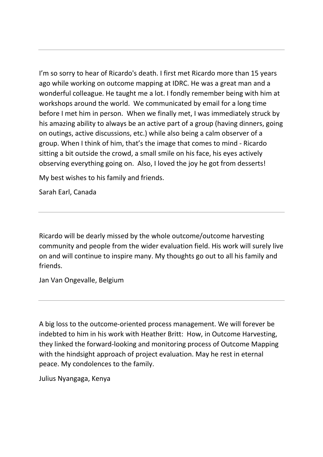I'm so sorry to hear of Ricardo's death. I first met Ricardo more than 15 years ago while working on outcome mapping at IDRC. He was a great man and a wonderful colleague. He taught me a lot. I fondly remember being with him at workshops around the world. We communicated by email for a long time before I met him in person. When we finally met, I was immediately struck by his amazing ability to always be an active part of a group (having dinners, going on outings, active discussions, etc.) while also being a calm observer of a group. When I think of him, that's the image that comes to mind - Ricardo sitting a bit outside the crowd, a small smile on his face, his eyes actively observing everything going on. Also, I loved the joy he got from desserts!

My best wishes to his family and friends.

Sarah Earl, Canada

Ricardo will be dearly missed by the whole outcome/outcome harvesting community and people from the wider evaluation field. His work will surely live on and will continue to inspire many. My thoughts go out to all his family and friends.

Jan Van Ongevalle, Belgium

A big loss to the outcome-oriented process management. We will forever be indebted to him in his work with Heather Britt: How, in Outcome Harvesting, they linked the forward-looking and monitoring process of Outcome Mapping with the hindsight approach of project evaluation. May he rest in eternal peace. My condolences to the family.

Julius Nyangaga, Kenya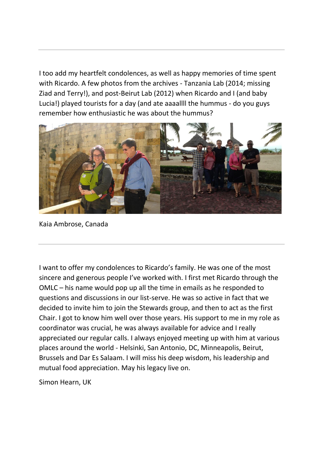I too add my heartfelt condolences, as well as happy memories of time spent with Ricardo. A few photos from the archives - Tanzania Lab (2014; missing Ziad and Terry!), and post-Beirut Lab (2012) when Ricardo and I (and baby Lucia!) played tourists for a day (and ate aaaallll the hummus - do you guys remember how enthusiastic he was about the hummus?



Kaia Ambrose, Canada

I want to offer my condolences to Ricardo's family. He was one of the most sincere and generous people I've worked with. I first met Ricardo through the OMLC – his name would pop up all the time in emails as he responded to questions and discussions in our list-serve. He was so active in fact that we decided to invite him to join the Stewards group, and then to act as the first Chair. I got to know him well over those years. His support to me in my role as coordinator was crucial, he was always available for advice and I really appreciated our regular calls. I always enjoyed meeting up with him at various places around the world - Helsinki, San Antonio, DC, Minneapolis, Beirut, Brussels and Dar Es Salaam. I will miss his deep wisdom, his leadership and mutual food appreciation. May his legacy live on.

Simon Hearn, UK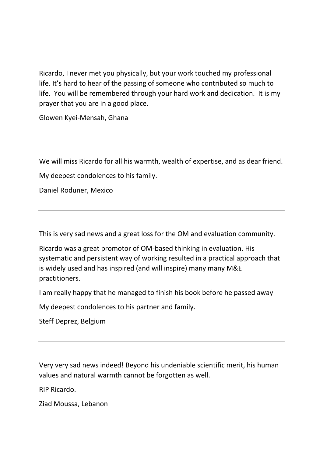Ricardo, I never met you physically, but your work touched my professional life. It's hard to hear of the passing of someone who contributed so much to life. You will be remembered through your hard work and dedication. It is my prayer that you are in a good place.

Glowen Kyei-Mensah, Ghana

We will miss Ricardo for all his warmth, wealth of expertise, and as dear friend.

My deepest condolences to his family.

Daniel Roduner, Mexico

This is very sad news and a great loss for the OM and evaluation community.

Ricardo was a great promotor of OM-based thinking in evaluation. His systematic and persistent way of working resulted in a practical approach that is widely used and has inspired (and will inspire) many many M&E practitioners.

I am really happy that he managed to finish his book before he passed away

My deepest condolences to his partner and family.

Steff Deprez, Belgium

Very very sad news indeed! Beyond his undeniable scientific merit, his human values and natural warmth cannot be forgotten as well.

RIP Ricardo.

Ziad Moussa, Lebanon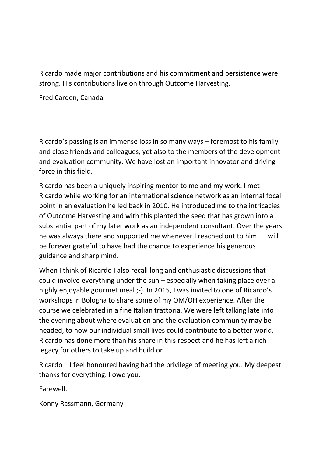Ricardo made major contributions and his commitment and persistence were strong. His contributions live on through Outcome Harvesting.

Fred Carden, Canada

Ricardo's passing is an immense loss in so many ways – foremost to his family and close friends and colleagues, yet also to the members of the development and evaluation community. We have lost an important innovator and driving force in this field.

Ricardo has been a uniquely inspiring mentor to me and my work. I met Ricardo while working for an international science network as an internal focal point in an evaluation he led back in 2010. He introduced me to the intricacies of Outcome Harvesting and with this planted the seed that has grown into a substantial part of my later work as an independent consultant. Over the years he was always there and supported me whenever I reached out to him – I will be forever grateful to have had the chance to experience his generous guidance and sharp mind.

When I think of Ricardo I also recall long and enthusiastic discussions that could involve everything under the sun – especially when taking place over a highly enjoyable gourmet meal ;-). In 2015, I was invited to one of Ricardo's workshops in Bologna to share some of my OM/OH experience. After the course we celebrated in a fine Italian trattoria. We were left talking late into the evening about where evaluation and the evaluation community may be headed, to how our individual small lives could contribute to a better world. Ricardo has done more than his share in this respect and he has left a rich legacy for others to take up and build on.

Ricardo – I feel honoured having had the privilege of meeting you. My deepest thanks for everything. I owe you.

Farewell.

Konny Rassmann, Germany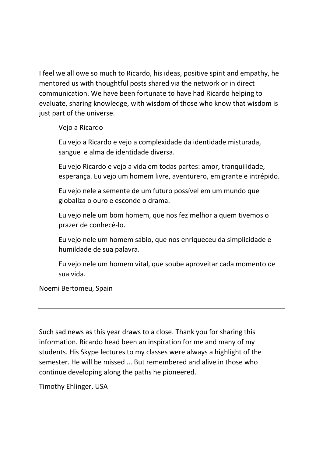I feel we all owe so much to Ricardo, his ideas, positive spirit and empathy, he mentored us with thoughtful posts shared via the network or in direct communication. We have been fortunate to have had Ricardo helping to evaluate, sharing knowledge, with wisdom of those who know that wisdom is just part of the universe.

Vejo a Ricardo

Eu vejo a Ricardo e vejo a complexidade da identidade misturada, sangue e alma de identidade diversa.

Eu vejo Ricardo e vejo a vida em todas partes: amor, tranquilidade, esperança. Eu vejo um homem livre, aventurero, emigrante e intrépido.

Eu vejo nele a semente de um futuro possível em um mundo que globaliza o ouro e esconde o drama.

Eu vejo nele um bom homem, que nos fez melhor a quem tivemos o prazer de conhecê-lo.

Eu vejo nele um homem sábio, que nos enriqueceu da simplicidade e humildade de sua palavra.

Eu vejo nele um homem vital, que soube aproveitar cada momento de sua vida.

Noemi Bertomeu, Spain

Such sad news as this year draws to a close. Thank you for sharing this information. Ricardo head been an inspiration for me and many of my students. His Skype lectures to my classes were always a highlight of the semester. He will be missed ... But remembered and alive in those who continue developing along the paths he pioneered.

Timothy Ehlinger, USA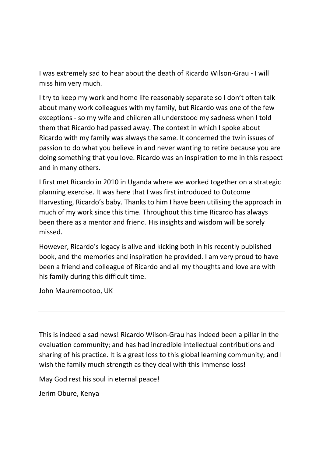I was extremely sad to hear about the death of Ricardo Wilson-Grau - I will miss him very much.

I try to keep my work and home life reasonably separate so I don't often talk about many work colleagues with my family, but Ricardo was one of the few exceptions - so my wife and children all understood my sadness when I told them that Ricardo had passed away. The context in which I spoke about Ricardo with my family was always the same. It concerned the twin issues of passion to do what you believe in and never wanting to retire because you are doing something that you love. Ricardo was an inspiration to me in this respect and in many others.

I first met Ricardo in 2010 in Uganda where we worked together on a strategic planning exercise. It was here that I was first introduced to Outcome Harvesting, Ricardo's baby. Thanks to him I have been utilising the approach in much of my work since this time. Throughout this time Ricardo has always been there as a mentor and friend. His insights and wisdom will be sorely missed.

However, Ricardo's legacy is alive and kicking both in his recently published book, and the memories and inspiration he provided. I am very proud to have been a friend and colleague of Ricardo and all my thoughts and love are with his family during this difficult time.

John Mauremootoo, UK

This is indeed a sad news! Ricardo Wilson-Grau has indeed been a pillar in the evaluation community; and has had incredible intellectual contributions and sharing of his practice. It is a great loss to this global learning community; and I wish the family much strength as they deal with this immense loss!

May God rest his soul in eternal peace!

Jerim Obure, Kenya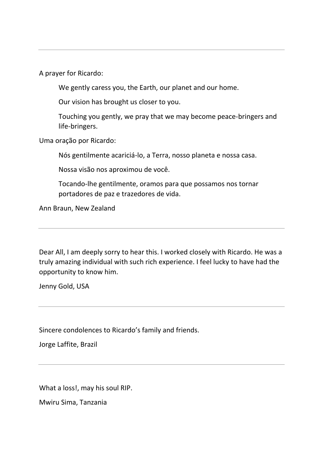A prayer for Ricardo:

We gently caress you, the Earth, our planet and our home.

Our vision has brought us closer to you.

Touching you gently, we pray that we may become peace-bringers and life-bringers.

Uma oração por Ricardo:

Nós gentilmente acariciá-lo, a Terra, nosso planeta e nossa casa.

Nossa visão nos aproximou de você.

Tocando-lhe gentilmente, oramos para que possamos nos tornar portadores de paz e trazedores de vida.

Ann Braun, New Zealand

Dear All, I am deeply sorry to hear this. I worked closely with Ricardo. He was a truly amazing individual with such rich experience. I feel lucky to have had the opportunity to know him.

Jenny Gold, USA

Sincere condolences to Ricardo's family and friends.

Jorge Laffite, Brazil

What a loss!, may his soul RIP.

Mwiru Sima, Tanzania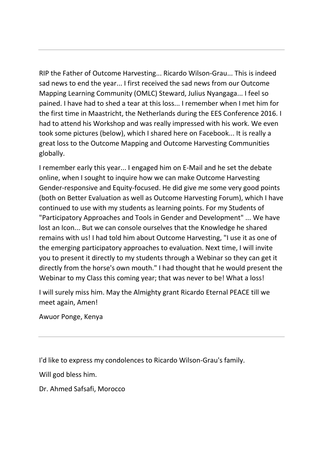RIP the Father of Outcome Harvesting... Ricardo Wilson-Grau... This is indeed sad news to end the year... I first received the sad news from our Outcome Mapping Learning Community (OMLC) Steward, Julius Nyangaga... I feel so pained. I have had to shed a tear at this loss... I remember when I met him for the first time in Maastricht, the Netherlands during the EES Conference 2016. I had to attend his Workshop and was really impressed with his work. We even took some pictures (below), which I shared here on Facebook... It is really a great loss to the Outcome Mapping and Outcome Harvesting Communities globally.

I remember early this year... I engaged him on E-Mail and he set the debate online, when I sought to inquire how we can make Outcome Harvesting Gender-responsive and Equity-focused. He did give me some very good points (both on Better Evaluation as well as Outcome Harvesting Forum), which I have continued to use with my students as learning points. For my Students of "Participatory Approaches and Tools in Gender and Development" ... We have lost an Icon... But we can console ourselves that the Knowledge he shared remains with us! I had told him about Outcome Harvesting, "I use it as one of the emerging participatory approaches to evaluation. Next time, I will invite you to present it directly to my students through a Webinar so they can get it directly from the horse's own mouth." I had thought that he would present the Webinar to my Class this coming year; that was never to be! What a loss!

I will surely miss him. May the Almighty grant Ricardo Eternal PEACE till we meet again, Amen!

Awuor Ponge, Kenya

I'd like to express my condolences to Ricardo Wilson-Grau's family.

Will god bless him.

Dr. Ahmed Safsafi, Morocco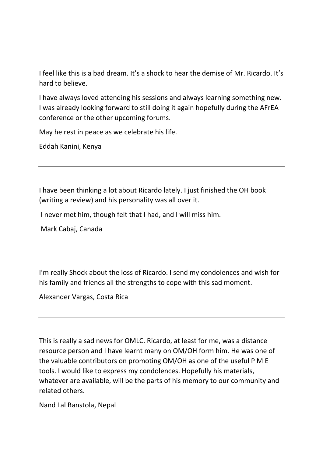I feel like this is a bad dream. It's a shock to hear the demise of Mr. Ricardo. It's hard to believe.

I have always loved attending his sessions and always learning something new. I was already looking forward to still doing it again hopefully during the AFrEA conference or the other upcoming forums.

May he rest in peace as we celebrate his life.

Eddah Kanini, Kenya

I have been thinking a lot about Ricardo lately. I just finished the OH book (writing a review) and his personality was all over it.

I never met him, though felt that I had, and I will miss him.

Mark Cabaj, Canada

I'm really Shock about the loss of Ricardo. I send my condolences and wish for his family and friends all the strengths to cope with this sad moment.

Alexander Vargas, Costa Rica

This is really a sad news for OMLC. Ricardo, at least for me, was a distance resource person and I have learnt many on OM/OH form him. He was one of the valuable contributors on promoting OM/OH as one of the useful P M E tools. I would like to express my condolences. Hopefully his materials, whatever are available, will be the parts of his memory to our community and related others.

Nand Lal Banstola, Nepal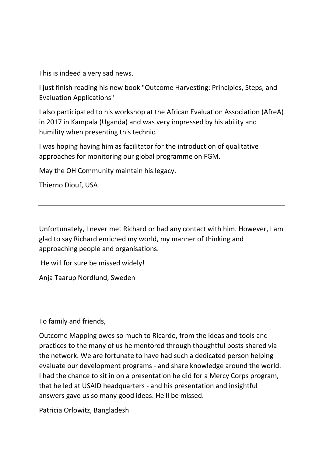This is indeed a very sad news.

I just finish reading his new book "Outcome Harvesting: Principles, Steps, and Evaluation Applications"

I also participated to his workshop at the African Evaluation Association (AfreA) in 2017 in Kampala (Uganda) and was very impressed by his ability and humility when presenting this technic.

I was hoping having him as facilitator for the introduction of qualitative approaches for monitoring our global programme on FGM.

May the OH Community maintain his legacy.

Thierno Diouf, USA

Unfortunately, I never met Richard or had any contact with him. However, I am glad to say Richard enriched my world, my manner of thinking and approaching people and organisations.

He will for sure be missed widely!

Anja Taarup Nordlund, Sweden

To family and friends,

Outcome Mapping owes so much to Ricardo, from the ideas and tools and practices to the many of us he mentored through thoughtful posts shared via the network. We are fortunate to have had such a dedicated person helping evaluate our development programs - and share knowledge around the world. I had the chance to sit in on a presentation he did for a Mercy Corps program, that he led at USAID headquarters - and his presentation and insightful answers gave us so many good ideas. He'll be missed.

Patricia Orlowitz, Bangladesh